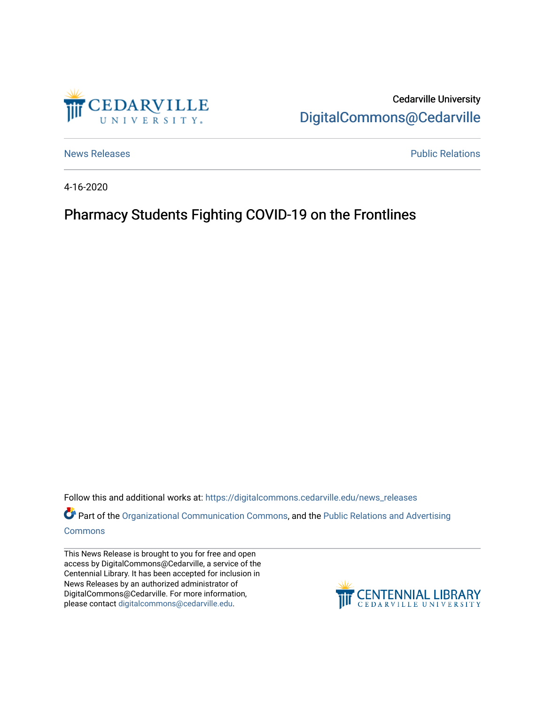

Cedarville University [DigitalCommons@Cedarville](https://digitalcommons.cedarville.edu/) 

[News Releases](https://digitalcommons.cedarville.edu/news_releases) **Public Relations Public Relations** 

4-16-2020

## Pharmacy Students Fighting COVID-19 on the Frontlines

Follow this and additional works at: [https://digitalcommons.cedarville.edu/news\\_releases](https://digitalcommons.cedarville.edu/news_releases?utm_source=digitalcommons.cedarville.edu%2Fnews_releases%2F1107&utm_medium=PDF&utm_campaign=PDFCoverPages) 

Part of the [Organizational Communication Commons](http://network.bepress.com/hgg/discipline/335?utm_source=digitalcommons.cedarville.edu%2Fnews_releases%2F1107&utm_medium=PDF&utm_campaign=PDFCoverPages), and the Public Relations and Advertising [Commons](http://network.bepress.com/hgg/discipline/336?utm_source=digitalcommons.cedarville.edu%2Fnews_releases%2F1107&utm_medium=PDF&utm_campaign=PDFCoverPages)

This News Release is brought to you for free and open access by DigitalCommons@Cedarville, a service of the Centennial Library. It has been accepted for inclusion in News Releases by an authorized administrator of DigitalCommons@Cedarville. For more information, please contact [digitalcommons@cedarville.edu](mailto:digitalcommons@cedarville.edu).

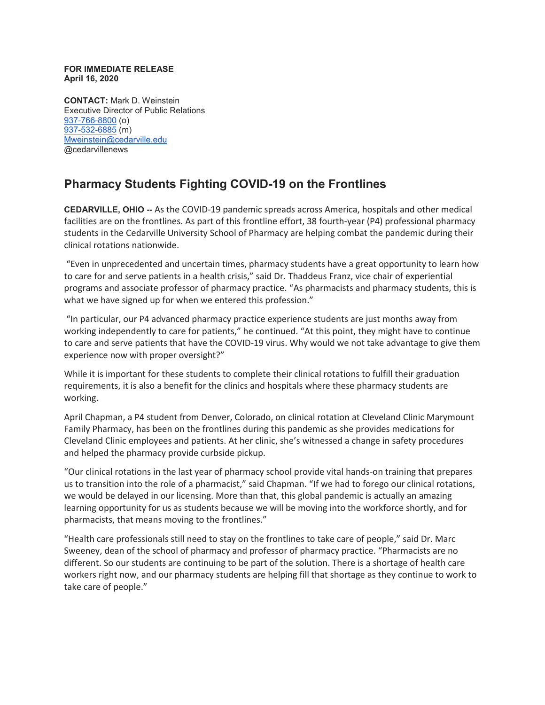## **FOR IMMEDIATE RELEASE April 16, 2020**

**CONTACT:** Mark D. Weinstein Executive Director of Public Relations [937-766-8800](tel:937-766-8800) (o) [937-532-6885](tel:937-532-6885) (m) [Mweinstein@cedarville.edu](mailto:Mweinstein@cedarville.edu) @cedarvillenews

## **Pharmacy Students Fighting COVID-19 on the Frontlines**

**CEDARVILLE, OHIO --** As the COVID-19 pandemic spreads across America, hospitals and other medical facilities are on the frontlines. As part of this frontline effort, 38 fourth-year (P4) professional pharmacy students in the Cedarville University School of Pharmacy are helping combat the pandemic during their clinical rotations nationwide.

"Even in unprecedented and uncertain times, pharmacy students have a great opportunity to learn how to care for and serve patients in a health crisis," said Dr. Thaddeus Franz, vice chair of experiential programs and associate professor of pharmacy practice. "As pharmacists and pharmacy students, this is what we have signed up for when we entered this profession."

"In particular, our P4 advanced pharmacy practice experience students are just months away from working independently to care for patients," he continued. "At this point, they might have to continue to care and serve patients that have the COVID-19 virus. Why would we not take advantage to give them experience now with proper oversight?"

While it is important for these students to complete their clinical rotations to fulfill their graduation requirements, it is also a benefit for the clinics and hospitals where these pharmacy students are working.

April Chapman, a P4 student from Denver, Colorado, on clinical rotation at Cleveland Clinic Marymount Family Pharmacy, has been on the frontlines during this pandemic as she provides medications for Cleveland Clinic employees and patients. At her clinic, she's witnessed a change in safety procedures and helped the pharmacy provide curbside pickup.

"Our clinical rotations in the last year of pharmacy school provide vital hands-on training that prepares us to transition into the role of a pharmacist," said Chapman. "If we had to forego our clinical rotations, we would be delayed in our licensing. More than that, this global pandemic is actually an amazing learning opportunity for us as students because we will be moving into the workforce shortly, and for pharmacists, that means moving to the frontlines."

"Health care professionals still need to stay on the frontlines to take care of people," said Dr. Marc Sweeney, dean of the school of pharmacy and professor of pharmacy practice. "Pharmacists are no different. So our students are continuing to be part of the solution. There is a shortage of health care workers right now, and our pharmacy students are helping fill that shortage as they continue to work to take care of people."